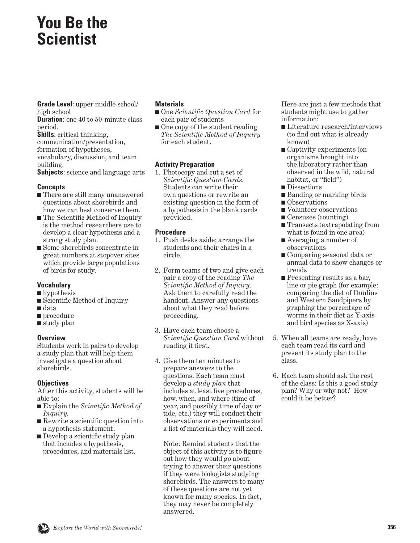# **You Be the Scientist**

**Grade Level**: upper middle school/ high school

**Duration:** one 40 to 50-minute class period.

**Skills**: critical thinking, communication/presentation, formation of hypotheses, vocabulary, discussion, and team building.

**Subjects**: science and language arts

#### **Concepts**

- There are still many unanswered questions about shorebirds and how we can best conserve them.
- The Scientific Method of Inquiry is the method researchers use to develop a clear hypothesis and a strong study plan.
- Some shorebirds concentrate in great numbers at stopover sites which provide large populations of birds for study.

## **Vocabulary**

- hypothesis
- Scientific Method of Inquiry
- data
- procedure
- study plan

## **Overview**

Students work in pairs to develop a study plan that will help them investigate a question about shorebirds.

## **Objectives**

After this activity, students will be able to:

- Explain the *Scientific Method of Inquiry.*
- Rewrite a scientific question into a hypothesis statement.
- Develop a scientific study plan that includes a hypothesis, procedures, and materials list.

### **Materials**

- One *Scientific Question Card* for each pair of students
- One copy of the student reading *The Scientific Method of Inquiry*  for each student.

### **Activity Preparation**

1. Photocopy and cut a set of *Scientific Question Cards*. Students can write their own questions or rewrite an existing question in the form of a hypothesis in the blank cards provided.

### **Procedure**

- 1. Push desks aside; arrange the students and their chairs in a circle.
- 2. Form teams of two and give each pair a copy of the reading *The Scientific Method of Inquiry*. Ask them to carefully read the handout. Answer any questions about what they read before proceeding.
- 3. Have each team choose a *Scientific Question Card* without reading it first.
- 4. Give them ten minutes to prepare answers to the questions. Each team must develop a *study plan* that includes at least five procedures, how, when, and where (time of year, and possibly time of day or tide, etc.) they will conduct their observations or experiments and a list of materials they will need.

 Note: Remind students that the object of this activity is to figure out how they would go about trying to answer their questions if they were biologists studying shorebirds. The answers to many of these questions are not yet known for many species. In fact, they may never be completely answered.

 Here are just a few methods that students might use to gather information:

- Literature research/interviews (to find out what is already known)
- Captivity experiments (on organisms brought into the laboratory rather than observed in the wild, natural habitat, or "field")
- Dissections
- Banding or marking birds
- Observations
- Volunteer observations
- Censuses (counting)
- Transects (extrapolating from what is found in one area)
- Averaging a number of observations
- Comparing seasonal data or annual data to show changes or trends
- Presenting results as a bar, line or pie graph (for example: comparing the diet of Dunlins and Western Sandpipers by graphing the percentage of worms in their diet as Y-axis and bird species as X-axis)
- 5. When all teams are ready, have each team read its card and present its study plan to the class.
- 6. Each team should ask the rest of the class: Is this a good study plan? Why or why not? How could it be better?

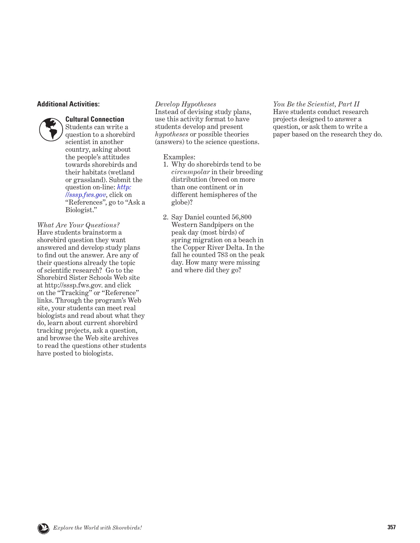#### **Additional Activities:**



#### **Cultural Connection**

Students can write a question to a shorebird scientist in another country, asking about the people's attitudes towards shorebirds and their habitats (wetland or grassland). Submit the question on-line: *[http:](http://sssp.fws.gov) [//sssp.fws.gov](http://sssp.fws.gov)*, click on "References", go to "Ask a Biologist."

*What Are Your Questions?*  Have students brainstorm a shorebird question they want answered and develop study plans to find out the answer. Are any of their questions already the topic of scientific research? Go to the Shorebird Sister Schools Web site at http://sssp.fws.gov. and click on the "Tracking" or "Reference" links. Through the program's Web site, your students can meet real biologists and read about what they do, learn about current shorebird tracking projects, ask a question, and browse the Web site archives to read the questions other students have posted to biologists.

*Develop Hypotheses*

Instead of devising study plans, use this activity format to have students develop and present *hypotheses* or possible theories (answers) to the science questions.

Examples:

- 1. Why do shorebirds tend to be *circumpolar* in their breeding distribution (breed on more than one continent or in different hemispheres of the globe)?
- 2. Say Daniel counted 56,800 Western Sandpipers on the peak day (most birds) of spring migration on a beach in the Copper River Delta. In the fall he counted 783 on the peak day. How many were missing and where did they go?

*You Be the Scientist, Part II* Have students conduct research projects designed to answer a question, or ask them to write a paper based on the research they do.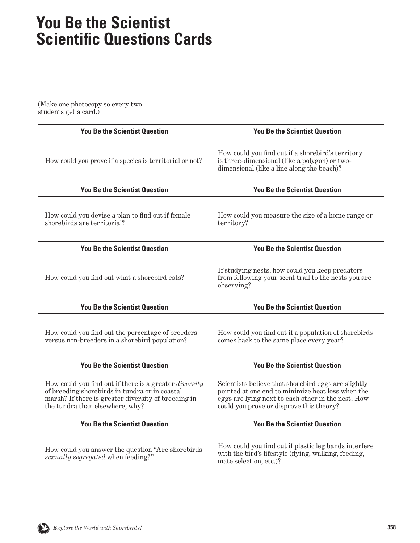# **You Be the Scientist Scientific Questions Cards**

(Make one photocopy so every two students get a card.)

| <b>You Be the Scientist Question</b>                                                                                                                                                               | <b>You Be the Scientist Question</b>                                                                                                                                                                       |
|----------------------------------------------------------------------------------------------------------------------------------------------------------------------------------------------------|------------------------------------------------------------------------------------------------------------------------------------------------------------------------------------------------------------|
| How could you prove if a species is territorial or not?                                                                                                                                            | How could you find out if a shorebird's territory<br>is three-dimensional (like a polygon) or two-<br>dimensional (like a line along the beach)?                                                           |
| <b>You Be the Scientist Question</b>                                                                                                                                                               | <b>You Be the Scientist Question</b>                                                                                                                                                                       |
| How could you devise a plan to find out if female<br>shorebirds are territorial?                                                                                                                   | How could you measure the size of a home range or<br>territory?                                                                                                                                            |
| <b>You Be the Scientist Question</b>                                                                                                                                                               | <b>You Be the Scientist Question</b>                                                                                                                                                                       |
| How could you find out what a shorebird eats?                                                                                                                                                      | If studying nests, how could you keep predators<br>from following your scent trail to the nests you are<br>observing?                                                                                      |
| <b>You Be the Scientist Question</b>                                                                                                                                                               | <b>You Be the Scientist Question</b>                                                                                                                                                                       |
| How could you find out the percentage of breeders<br>versus non-breeders in a shorebird population?                                                                                                | How could you find out if a population of shorebirds<br>comes back to the same place every year?                                                                                                           |
| <b>You Be the Scientist Question</b>                                                                                                                                                               | <b>You Be the Scientist Question</b>                                                                                                                                                                       |
| How could you find out if there is a greater diversity<br>of breeding shorebirds in tundra or in coastal<br>marsh? If there is greater diversity of breeding in<br>the tundra than elsewhere, why? | Scientists believe that shorebird eggs are slightly<br>pointed at one end to minimize heat loss when the<br>eggs are lying next to each other in the nest. How<br>could you prove or disprove this theory? |
| <b>You Be the Scientist Question</b>                                                                                                                                                               | <b>You Be the Scientist Question</b>                                                                                                                                                                       |
| How could you answer the question "Are shorebirds"<br>sexually segregated when feeding?"                                                                                                           | How could you find out if plastic leg bands interfere<br>with the bird's lifestyle (flying, walking, feeding,<br>mate selection, etc.)?                                                                    |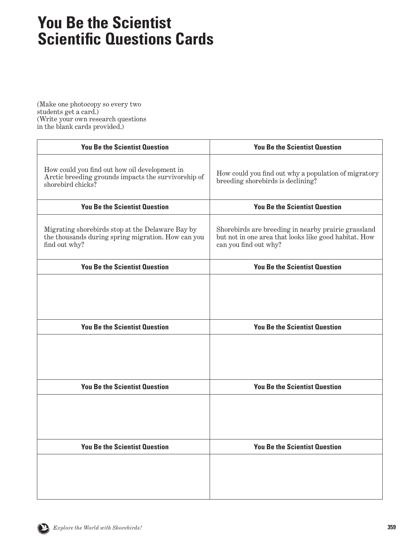# **You Be the Scientist Scientific Questions Cards**

(Make one photocopy so every two students get a card.) (Write your own research questions in the blank cards provided.)

| <b>You Be the Scientist Question</b>                                                                                      | <b>You Be the Scientist Question</b>                                                                                                  |
|---------------------------------------------------------------------------------------------------------------------------|---------------------------------------------------------------------------------------------------------------------------------------|
| How could you find out how oil development in<br>Arctic breeding grounds impacts the survivorship of<br>shorebird chicks? | How could you find out why a population of migratory<br>breeding shorebirds is declining?                                             |
| <b>You Be the Scientist Question</b>                                                                                      | <b>You Be the Scientist Question</b>                                                                                                  |
| Migrating shorebirds stop at the Delaware Bay by<br>the thousands during spring migration. How can you<br>find out why?   | Shorebirds are breeding in nearby prairie grassland<br>but not in one area that looks like good habitat. How<br>can you find out why? |
| <b>You Be the Scientist Question</b>                                                                                      | <b>You Be the Scientist Question</b>                                                                                                  |
| <b>You Be the Scientist Question</b>                                                                                      | <b>You Be the Scientist Question</b>                                                                                                  |
|                                                                                                                           |                                                                                                                                       |
| <b>You Be the Scientist Question</b>                                                                                      | <b>You Be the Scientist Question</b>                                                                                                  |
| <b>You Be the Scientist Question</b>                                                                                      | <b>You Be the Scientist Question</b>                                                                                                  |
|                                                                                                                           |                                                                                                                                       |